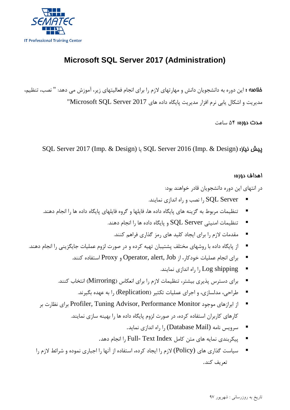

## **Microsoft SQL Server 2017 (Administration)**

خلاصه : این دوره به دانشجویان دانش و مهارتهاي لازم را براي انجام فعالیتهاي زیر، آموزش می دهد: " نصب، تنظیم، مدیریت و اشکال یابی نرم افزار مدیریت پایگاه داده هاي 2017 Server SQL Microsoft"

مدت دوره: 54 ساعت

SQL Server 2017 (Imp. & Design) یا SQL Server 2016 (Imp. & Design) :نیاز پیش

## اهداف دوره:

در انتهاي این دوره دانشجویان قادر خواهند بود:

- Server SQL را نصب و راه اندازي نمایند.
- تنظیمات مربوط به گزینه هاي پایگاه داده ها، فایلها و گروه فایلهاي پایگاه داده ها را انجام دهند.
	- تنظیمات امنیتی  $\rm SQL$  Server و پایگاه داده ها را انجام دهند.
		- مقدمات لازم را براي ایجاد کلید هاي رمز گذاري فراهم کنند.
- از پایگاه داده با روشهاي مختلف پشتیبان تهیه کرده و در صورت لزوم عملیات جایگزینی را انجام دهند.
	- براي انجام عملیات خودکار، از Job ,alert ,Operator و Proxy استفاده کنند.
		- shipping Log را راه اندازي نمایند.
	- براي دسترس پذیري بیشتر، تنظیمات لازم را براي انعکاس (Mirroring (انتخاب کنند.
		- طراحی، مدلسازي، و اجراي عملیات تکثیر (Replication (را به عهده بگیرند.
	- از ابرازهاي موجود Profiler, Tuning Advisor, Performance Monitor براي نظارت بر کارهاي کاربران استفاده کرده، در صورت لزوم پایگاه داده ها را بهینه سازي نمایند.
		- سرویس نامه (Database Mail) را راه اندازي نماید.  $\blacksquare$
		- پیکربندی نمایه های متن کامل Full- Text Index را انجام دهد.
	- سیاست گذاري هاي (Policy (لازم را ایجاد کرده، استفاده از آنها را اجباري نموده و شرائط لازم را تعریف کند.